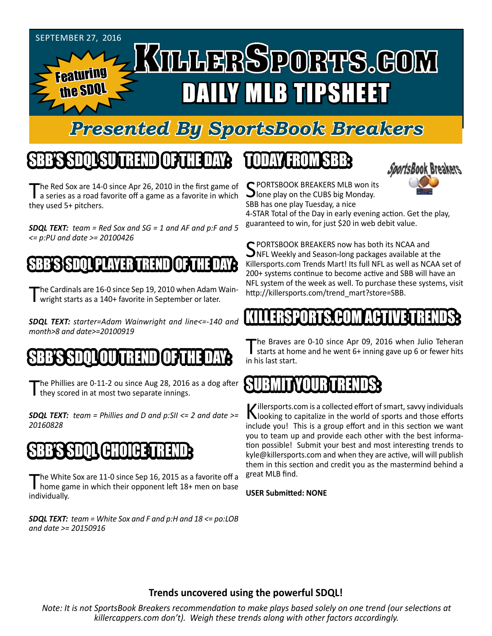

# *Presented By SportsBook Breakers*

# SBB'S SDQL SU TREND OF THE DAY:

The Red Sox are 14-0 since Apr 26, 2010 in the first game of<br>a series as a road favorite off a game as a favorite in which they used 5+ pitchers.

*SDQL TEXT: team = Red Sox and SG = 1 and AF and p:F and 5 <= p:PU and date >= 20100426*

#### BESDAL PLAYER TREND

The Cardinals are 16-0 since Sep 19, 2010 when Adam Wain-<br>Twright starts as a 140+ favorite in September or later.

*SDQL TEXT: starter=Adam Wainwright and line<=-140 and month>8 and date>=20100919*

### THE TREND O

The Phillies are 0-11-2 ou since Aug 28, 2016 as a dog after they scored in at most two separate innings.

*SDQL TEXT: team = Phillies and D and p:SII <= 2 and date >= 20160828*

# SBB'S SDQL CHOICE TREND

The White Sox are 11-0 since Sep 16, 2015 as a favorite off a<br>home game in which their opponent left 18+ men on base individually.

*SDQL TEXT: team = White Sox and F and p:H and 18 <= po:LOB and date >= 20150916*

#### TODAY HAOMSBB



C PORTSBOOK BREAKERS MLB won its **J**lone play on the CUBS big Monday. SBB has one play Tuesday, a nice

4-STAR Total of the Day in early evening action. Get the play, guaranteed to win, for just \$20 in web debit value.

SPORTSBOOK BREAKERS now has both its NCAA and<br>NFL Weekly and Season-long packages available at the Killersports.com Trends Mart! Its full NFL as well as NCAA set of 200+ systems continue to become active and SBB will have an NFL system of the week as well. To purchase these systems, visit http://killersports.com/trend\_mart?store=SBB.

#### TRENDING **EN** HUNTAH

The Braves are 0-10 since Apr 09, 2016 when Julio Teheran<br>starts at home and he went 6+ inning gave up 6 or fewer hits in his last start.

#### SUBMIT VOLEM

Killersports.com is a collected effort of smart, savvy individuals<br>Nooking to capitalize in the world of sports and those efforts include you! This is a group effort and in this section we want you to team up and provide each other with the best information possible! Submit your best and most interesting trends to kyle@killersports.com and when they are active, will will publish them in this section and credit you as the mastermind behind a great MLB find.

**USER Submitted: NONE**

#### **Trends uncovered using the powerful SDQL!**

*Note: It is not SportsBook Breakers recommendation to make plays based solely on one trend (our selections at killercappers.com don't). Weigh these trends along with other factors accordingly.*